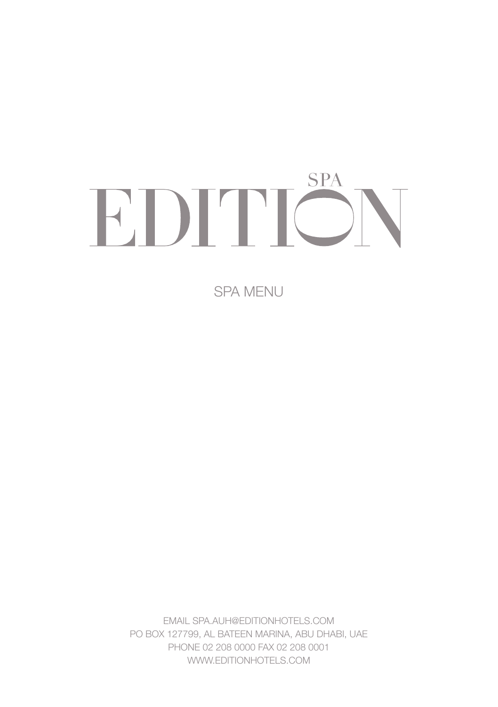# **SPA** EDITIÖ

SPA MENU

EMAIL SPA.AUH@EDITIONHOTELS.COM PO BOX 127799, AL BATEEN MARINA, ABU DHABI, UAE PHONE 02 208 0000 FAX 02 208 0001 WWW.FDITIONHOTELS.COM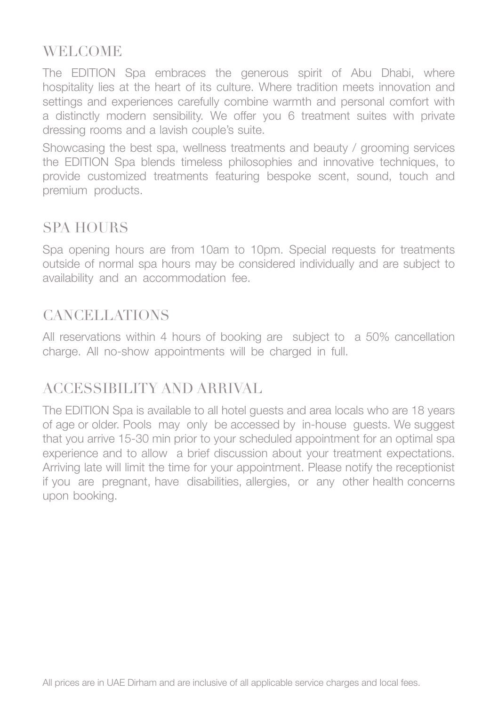# **WELCOME**

The EDITION Spa embraces the generous spirit of Abu Dhabi, where hospitality lies at the heart of its culture. Where tradition meets innovation and settings and experiences carefully combine warmth and personal comfort with a distinctly modern sensibility. We offer you 6 treatment suites with private dressing rooms and a lavish couple's suite.

Showcasing the best spa, wellness treatments and beauty / grooming services the EDITION Spa blends timeless philosophies and innovative techniques, to provide customized treatments featuring bespoke scent, sound, touch and premium products.

# SPA HOURS

Spa opening hours are from 10am to 10pm. Special requests for treatments outside of normal spa hours may be considered individually and are subject to availability and an accommodation fee.

# CANCELLATIONS

All reservations within 4 hours of booking are subject to a 50% cancellation charge. All no-show appointments will be charged in full.

# ACCESSIBILITY AND ARRIVAL

The EDITION Spa is available to all hotel guests and area locals who are 18 years of age or older. Pools may only be accessed by in-house guests. We suggest that you arrive 15-30 min prior to your scheduled appointment for an optimal spa experience and to allow a brief discussion about your treatment expectations. Arriving late will limit the time for your appointment. Please notify the receptionist if you are pregnant, have disabilities, allergies, or any other health concerns upon booking.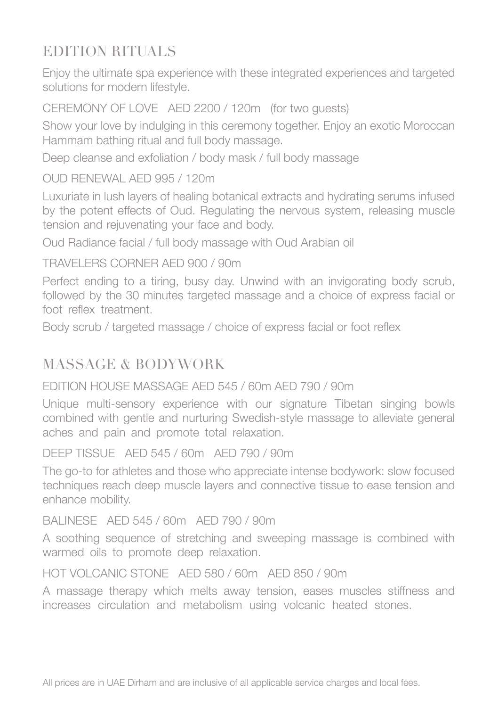# EDITION RITUALS

Enjoy the ultimate spa experience with these integrated experiences and targeted solutions for modern lifestyle.

CEREMONY OF LOVE AED 2200 / 120m (for two guests)

Show your love by indulging in this ceremony together. Enjoy an exotic Moroccan Hammam bathing ritual and full body massage.

Deep cleanse and exfoliation / body mask / full body massage

#### OUD RENEWAL AED 995 / 120m

Luxuriate in lush layers of healing botanical extracts and hydrating serums infused by the potent effects of Oud. Regulating the nervous system, releasing muscle tension and rejuvenating your face and body.

Oud Radiance facial / full body massage with Oud Arabian oil

#### TRAVELERS CORNER AED 900 / 90m

Perfect ending to a tiring, busy day. Unwind with an invigorating body scrub, followed by the 30 minutes targeted massage and a choice of express facial or foot reflex treatment.

Body scrub / targeted massage / choice of express facial or foot reflex

# MASSAGE & BODYWORK

#### EDITION HOUSE MASSAGE AED 545 / 60m AED 790 / 90m

Unique multi-sensory experience with our signature Tibetan singing bowls combined with gentle and nurturing Swedish-style massage to alleviate general aches and pain and promote total relaxation.

DEEP TISSUE AED 545 / 60m AED 790 / 90m

The go-to for athletes and those who appreciate intense bodywork: slow focused techniques reach deep muscle layers and connective tissue to ease tension and enhance mobility.

#### BALINESE AED 545 / 60m AED 790 / 90m

A soothing sequence of stretching and sweeping massage is combined with warmed oils to promote deep relaxation.

#### HOT VOLCANIC STONE AED 580 / 60m AED 850 / 90m

A massage therapy which melts away tension, eases muscles stiffness and increases circulation and metabolism using volcanic heated stones.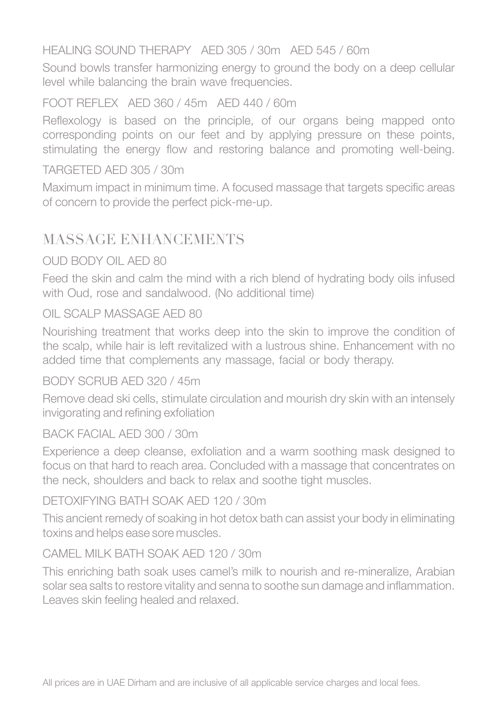#### HEALING SOUND THERAPY AED 305 / 30m AED 545 / 60m

Sound bowls transfer harmonizing energy to ground the body on a deep cellular level while balancing the brain wave frequencies.

#### FOOT REFLEX AED 360 / 45m AED 440 / 60m

Reflexology is based on the principle, of our organs being mapped onto corresponding points on our feet and by applying pressure on these points, stimulating the energy flow and restoring balance and promoting well-being.

#### TARGETED AED 305 / 30m

Maximum impact in minimum time. A focused massage that targets specific areas of concern to provide the perfect pick-me-up.

## MASSAGE ENHANCEMENTS

#### OUD BODY OIL AED 80

Feed the skin and calm the mind with a rich blend of hydrating body oils infused with Oud, rose and sandalwood. (No additional time)

#### OIL SCALP MASSAGE AED 80

Nourishing treatment that works deep into the skin to improve the condition of the scalp, while hair is left revitalized with a lustrous shine. Enhancement with no added time that complements any massage, facial or body therapy.

#### BODY SCRUB AED 320 / 45m

Remove dead ski cells, stimulate circulation and mourish dry skin with an intensely invigorating and refining exfoliation

#### BACK FACIAL AED 300 / 30m

Experience a deep cleanse, exfoliation and a warm soothing mask designed to focus on that hard to reach area. Concluded with a massage that concentrates on the neck, shoulders and back to relax and soothe tight muscles.

#### DETOXIFYING BATH SOAK AED 120 / 30m

This ancient remedy of soaking in hot detox bath can assist your body in eliminating toxins and helps ease sore muscles.

#### CAMEL MILK BATH SOAK AED 120 / 30m

This enriching bath soak uses camel's milk to nourish and re-mineralize, Arabian solar sea salts to restore vitality and senna to soothe sun damage and inflammation. Leaves skin feeling healed and relaxed.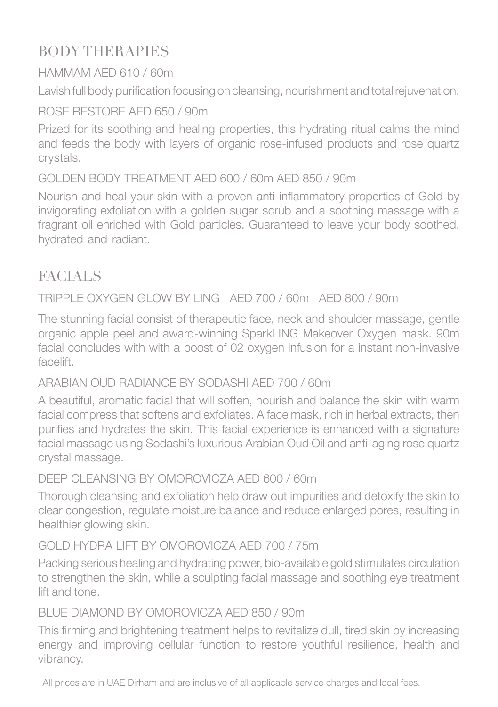# BODY THERAPIES

## HAMMAM AED 610 / 60m

Lavish full body purification focusing on cleansing, nourishment and total rejuvenation.

## ROSE RESTORE AED 650 / 90m

Prized for its soothing and healing properties, this hydrating ritual calms the mind and feeds the body with layers of organic rose-infused products and rose quartz crystals.

## GOLDEN BODY TREATMENT AED 600 / 60m AED 850 / 90m

Nourish and heal your skin with a proven anti-inflammatory properties of Gold by invigorating exfoliation with a golden sugar scrub and a soothing massage with a fragrant oil enriched with Gold particles. Guaranteed to leave your body soothed, hydrated and radiant.

# FACIALS

## TRIPPLE OXYGEN GLOW BY LING AED 700 / 60m AED 800 / 90m

The stunning facial consist of therapeutic face, neck and shoulder massage, gentle organic apple peel and award-winning SparkLING Makeover Oxygen mask. 90m facial concludes with with a boost of 02 oxygen infusion for a instant non-invasive facelift.

## ARABIAN OUD RADIANCE BY SODASHI AED 700 / 60m

A beautiful, aromatic facial that will soften, nourish and balance the skin with warm facial compress that softens and exfoliates. A face mask, rich in herbal extracts, then purifies and hydrates the skin. This facial experience is enhanced with a signature facial massage using Sodashi's luxurious Arabian Oud Oil and anti-aging rose quartz crystal massage.

## DEEP CLEANSING BY OMOROVICZA AED 600 / 60m

Thorough cleansing and exfoliation help draw out impurities and detoxify the skin to clear congestion, regulate moisture balance and reduce enlarged pores, resulting in healthier glowing skin.

## GOLD HYDRA LIFT BY OMOROVICZA AED 700 / 75m

Packing serious healing and hydrating power, bio-available gold stimulates circulation to strengthen the skin, while a sculpting facial massage and soothing eye treatment lift and tone.

## BLUE DIAMOND BY OMOROVICZA AED 850 / 90m

This firming and brightening treatment helps to revitalize dull, tired skin by increasing energy and improving cellular function to restore youthful resilience, health and vibrancy.

All prices are in UAE Dirham and are inclusive of all applicable service charges and local fees.